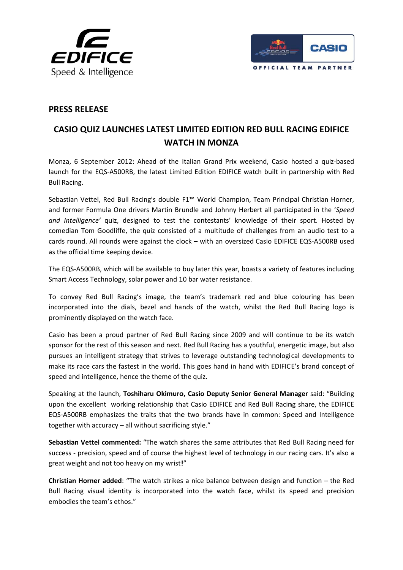



## **PRESS RELEASE**

## CASIO QUIZ LAUNCHES LATEST LIMITED EDITION RED BULL RACING EDIFICE **WATCH IN MONZA**

Monza, 6 September 2012: Ahead of the Italian Grand Prix weekend, Casio hosted a quiz-based launch for the EQS-A500RB, the latest Limited Edition EDIFICE watch built in partnership with Red **Bull Racing.** 

Sebastian Vettel, Red Bull Racing's double F1<sup>™</sup> World Champion, Team Principal Christian Horner, and former Formula One drivers Martin Brundle and Johnny Herbert all participated in the 'Speed and Intelligence' quiz, designed to test the contestants' knowledge of their sport. Hosted by comedian Tom Goodliffe, the quiz consisted of a multitude of challenges from an audio test to a cards round. All rounds were against the clock - with an oversized Casio EDIFICE EQS-A500RB used as the official time keeping device.

The EQS-A500RB, which will be available to buy later this year, boasts a variety of features including Smart Access Technology, solar power and 10 bar water resistance.

To convey Red Bull Racing's image, the team's trademark red and blue colouring has been incorporated into the dials, bezel and hands of the watch, whilst the Red Bull Racing logo is prominently displayed on the watch face.

Casio has been a proud partner of Red Bull Racing since 2009 and will continue to be its watch sponsor for the rest of this season and next. Red Bull Racing has a youthful, energetic image, but also pursues an intelligent strategy that strives to leverage outstanding technological developments to make its race cars the fastest in the world. This goes hand in hand with EDIFICE's brand concept of speed and intelligence, hence the theme of the quiz.

Speaking at the launch, Toshiharu Okimuro, Casio Deputy Senior General Manager said: "Building upon the excellent working relationship that Casio EDIFICE and Red Bull Racing share, the EDIFICE EQS-A500RB emphasizes the traits that the two brands have in common: Speed and Intelligence together with accuracy - all without sacrificing style."

Sebastian Vettel commented: "The watch shares the same attributes that Red Bull Racing need for success - precision, speed and of course the highest level of technology in our racing cars. It's also a great weight and not too heavy on my wrist!"

Christian Horner added: "The watch strikes a nice balance between design and function - the Red Bull Racing visual identity is incorporated into the watch face, whilst its speed and precision embodies the team's ethos."